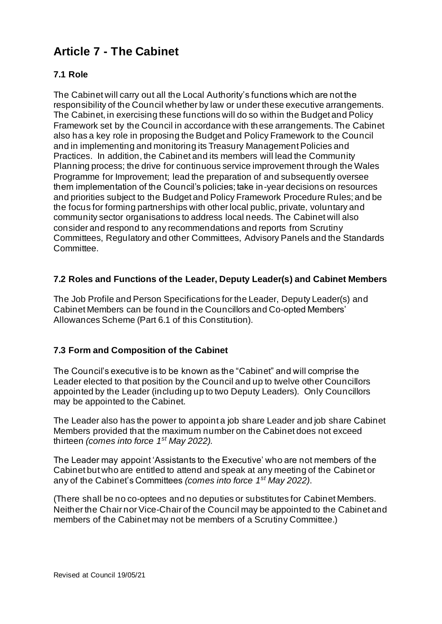# **Article 7 - The Cabinet**

# **7.1 Role**

The Cabinet will carry out all the Local Authority's functions which are not the responsibility of the Council whether by law or under these executive arrangements. The Cabinet, in exercising these functions will do so within the Budget and Policy Framework set by the Council in accordance with these arrangements. The Cabinet also has a key role in proposing the Budget and Policy Framework to the Council and in implementing and monitoring its Treasury Management Policies and Practices. In addition, the Cabinet and its members will lead the Community Planning process; the drive for continuous service improvement through the Wales Programme for Improvement; lead the preparation of and subsequently oversee them implementation of the Council's policies; take in-year decisions on resources and priorities subject to the Budget and Policy Framework Procedure Rules; and be the focus for forming partnerships with other local public, private, voluntary and community sector organisations to address local needs. The Cabinet will also consider and respond to any recommendations and reports from Scrutiny Committees, Regulatory and other Committees, Advisory Panels and the Standards Committee.

## **7.2 Roles and Functions of the Leader, Deputy Leader(s) and Cabinet Members**

The Job Profile and Person Specifications for the Leader, Deputy Leader(s) and Cabinet Members can be found in the Councillors and Co-opted Members' Allowances Scheme (Part 6.1 of this Constitution).

# **7.3 Form and Composition of the Cabinet**

The Council's executive is to be known as the "Cabinet" and will comprise the Leader elected to that position by the Council and up to twelve other Councillors appointed by the Leader (including up to two Deputy Leaders). Only Councillors may be appointed to the Cabinet.

The Leader also has the power to appoint a job share Leader and job share Cabinet Members provided that the maximum number on the Cabinet does not exceed thirteen *(comes into force 1st May 2022).*

The Leader may appoint 'Assistants to the Executive' who are not members of the Cabinet but who are entitled to attend and speak at any meeting of the Cabinet or any of the Cabinet's Committees *(comes into force 1st May 2022)*.

(There shall be no co-optees and no deputies or substitutes for Cabinet Members. Neither the Chair nor Vice-Chair of the Council may be appointed to the Cabinet and members of the Cabinet may not be members of a Scrutiny Committee.)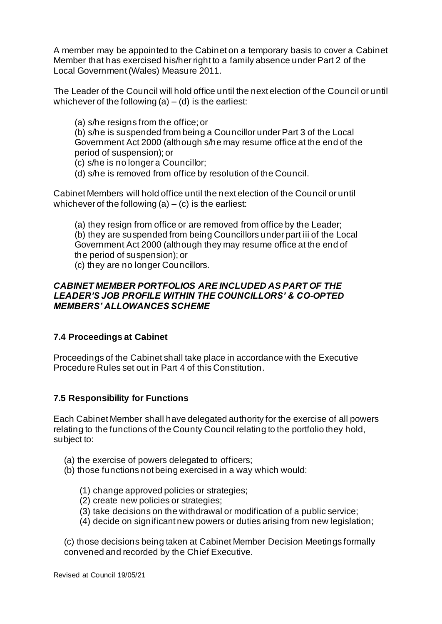A member may be appointed to the Cabinet on a temporary basis to cover a Cabinet Member that has exercised his/her right to a family absence under Part 2 of the Local Government (Wales) Measure 2011.

The Leader of the Council will hold office until the next election of the Council or until whichever of the following  $(a) - (d)$  is the earliest:

(a) s/he resigns from the office; or

(b) s/he is suspended from being a Councillor under Part 3 of the Local Government Act 2000 (although s/he may resume office at the end of the period of suspension); or

- (c) s/he is no longer a Councillor;
- (d) s/he is removed from office by resolution of the Council.

Cabinet Members will hold office until the next election of the Council or until whichever of the following  $(a) - (c)$  is the earliest:

(a) they resign from office or are removed from office by the Leader; (b) they are suspended from being Councillors under part iii of the Local Government Act 2000 (although they may resume office at the end of the period of suspension); or

(c) they are no longer Councillors.

#### *CABINET MEMBER PORTFOLIOS ARE INCLUDED AS PART OF THE LEADER'S JOB PROFILE WITHIN THE COUNCILLORS' & CO-OPTED MEMBERS' ALLOWANCES SCHEME*

#### **7.4 Proceedings at Cabinet**

Proceedings of the Cabinet shall take place in accordance with the Executive Procedure Rules set out in Part 4 of this Constitution.

#### **7.5 Responsibility for Functions**

Each Cabinet Member shall have delegated authority for the exercise of all powers relating to the functions of the County Council relating to the portfolio they hold, subject to:

- (a) the exercise of powers delegated to officers;
- (b) those functions not being exercised in a way which would:
	- (1) change approved policies or strategies;
	- (2) create new policies or strategies;
	- (3) take decisions on the withdrawal or modification of a public service;
	- (4) decide on significant new powers or duties arising from new legislation;

(c) those decisions being taken at Cabinet Member Decision Meetings formally convened and recorded by the Chief Executive.